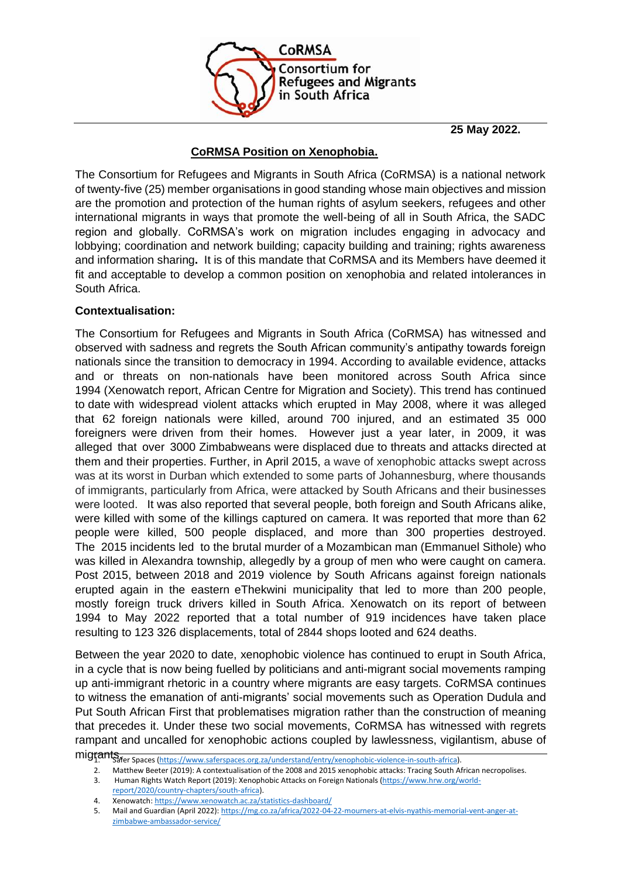

**25 May 2022.**

## **CoRMSA Position on Xenophobia.**

The Consortium for Refugees and Migrants in South Africa (CoRMSA) is a national network of twenty-five (25) member organisations in good standing whose main objectives and mission are the promotion and protection of the human rights of asylum seekers, refugees and other international migrants in ways that promote the well-being of all in South Africa, the SADC region and globally. CoRMSA's work on migration includes engaging in advocacy and lobbying; coordination and network building; capacity building and training; rights awareness and information sharing**.** It is of this mandate that CoRMSA and its Members have deemed it fit and acceptable to develop a common position on xenophobia and related intolerances in South Africa.

## **Contextualisation:**

The Consortium for Refugees and Migrants in South Africa (CoRMSA) has witnessed and observed with sadness and regrets the South African community's antipathy towards foreign nationals since the transition to democracy in 1994. According to available evidence, attacks and or threats on non-nationals have been monitored across South Africa since 1994 (Xenowatch report, African Centre for Migration and Society). This trend has continued to date with widespread violent attacks which erupted in May 2008, where it was alleged that 62 foreign nationals were killed, around 700 injured, and an estimated 35 000 foreigners were driven from their homes. However just a year later, in 2009, it was alleged that over 3000 Zimbabweans were displaced due to threats and attacks directed at them and their properties. Further, in April 2015, a wave of xenophobic attacks swept across was at its worst in Durban which extended to some parts of Johannesburg, where thousands of immigrants, particularly from Africa, were attacked by South Africans and their businesses were looted. It was also reported that several people, both foreign and South Africans alike, were killed with some of the killings captured on camera. It was reported that more than 62 people were killed, 500 people displaced, and more than 300 properties destroyed. The 2015 incidents led to the brutal murder of a Mozambican man (Emmanuel Sithole) who was killed [in Alexandra township,](about:blank) allegedly by a group of men who were caught on camera. Post 2015, between 2018 and 2019 violence by South Africans against foreign nationals erupted again in the eastern eThekwini municipality that led to more tha[n 200 people,](about:blank) mostly foreign truck drivers killed i[n South Africa.](about:blank) Xenowatch on its report of between 1994 to May 2022 reported that a total number of 919 incidences have taken place resulting to 123 326 displacements, total of 2844 shops looted and 624 deaths.

Between the year 2020 to date, xenophobic violence has continued to erupt in South Africa, in a cycle that is now being fuelled by politicians and anti-migrant social movements ramping up anti-immigrant rhetoric in a country where migrants are easy targets. CoRMSA continues to witness the emanation of anti-migrants' social movements such as Operation Dudula and Put South African First that problematises migration rather than the construction of meaning that precedes it. Under these two social movements, CoRMSA has witnessed with regrets rampant and uncalled for xenophobic actions coupled by lawlessness, vigilantism, abuse of

3. Human Rights Watch Report (2019): Xenophobic Attacks on Foreign Nationals [\(https://www.hrw.org/world-](about:blank)

mig<del>rants.</del><br>migrants, en spaces [\(https://www.saferspaces.org.za/understand/entry/xenophobic-violence-in-south-africa\).](about:blank)

<sup>2.</sup> Matthew Beeter (2019): A contextualisation of the 2008 and 2015 xenophobic attacks: Tracing South African necropolises.

[report/2020/country-chapters/south-africa\)](about:blank).

<sup>4.</sup> Xenowatch[: https://www.xenowatch.ac.za/statistics-dashboard/](about:blank)<br>5. Mail and Guardian (April 2022): https://mg.co.za/africa/2022-04-

<sup>5.</sup> Mail and Guardian (April 2022)[: https://mg.co.za/africa/2022-04-22-mourners-at-elvis-nyathis-memorial-vent-anger-at](about:blank)[zimbabwe-ambassador-service/](about:blank)